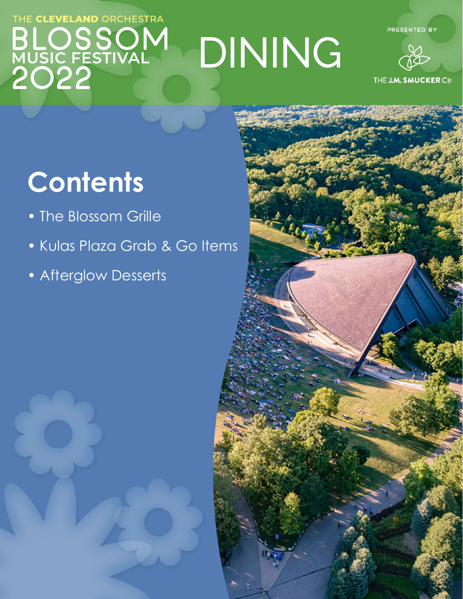### THE CLEVELAND ORCHESTRA 550 DININGMUSIC FESTIVAL

PRESENTED BY



## **Contents**

- The Blossom Grille
- Kulas Plaza Grab & Go Items
- Afterglow Desserts



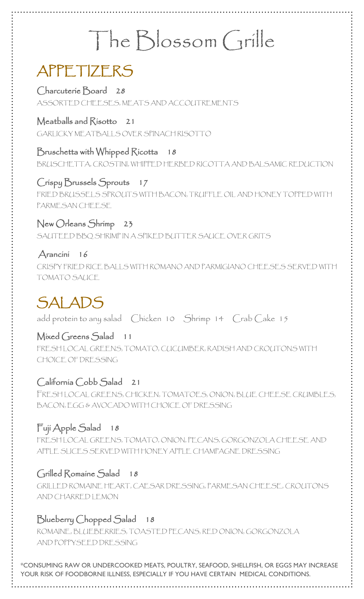# The Blossom Grille

## APPETIZERS

Charcuterie Board 28 ASSORTED CHEESES, MEATS AND ACCOUTREMENTS

#### Meatballs and Risotto 21

GARLICKY MEATBALLS OVER SPINACH RISOTTO

#### Bruschetta with Whipped Ricotta 18

BRUSCHETTA, CROSTINI, WHIPPED HERBED RICOTTA AND BALSAMIC REDUCTION

#### Crispy Brussels Sprouts 17

 FRIED BRUSSELS SPROUTS WITH BACON, TRUFFLE OIL AND HONEY TOPPED WITH PARMESAN CHEESE

#### New Orleans Shrimp 23

SAUTEED BBQ SHRIMP IN A SPIKED BUTTER SAUCE OVER GRITS

#### Arancini 16

CRISPY FRIED RICE BALLS WITH ROMANO AND PARMIGIANO CHEESES SERVED WITH TOMATO SAUCE

### SALADS

add protein to any salad Chicken 10 Shrimp 14 Crab Cake 15

#### Mixed Greens Salad 11

 FRESH LOCAL GREENS, TOMATO, CUCUMBER, RADISH AND CROUTONS WITH CHOICE OF DRESSING

#### California Cobb Salad 21

 FRESH LOCAL GREENS, CHICKEN, TOMATOES, ONION, BLUE CHEESE CRUMBLES, BACON, EGG & AVOCADO WITH CHOICE OF DRESSING

#### Fuji Apple Salad 18

 FRESH LOCAL GREENS, TOMATO, ONION, PECANS, GORGONZOLA CHEESE AND APPLE SLICES SERVED WITH HONEY APPLE CHAMPAGNE DRESSING

#### Grilled Romaine Salad 18

 GRILLED ROMAINE HEART, CAESAR DRESSING, PARMESAN CHEESE, CROUTONS AND CHARRED LEMON

#### Blueberry Chopped Salad 18

 ROMAINE, BLUEBERRIES, TOASTED PECANS, RED ONION, GORGONZOLA AND POPPYSEED DRESSING

\*CONSUMING RAW OR UNDERCOOKED MEATS, POULTRY, SEAFOOD, SHELLFISH, OR EGGS MAY INCREASE YOUR RISK OF FOODBORNE ILLNESS, ESPECIALLY IF YOU HAVE CERTAIN MEDICAL CONDITIONS.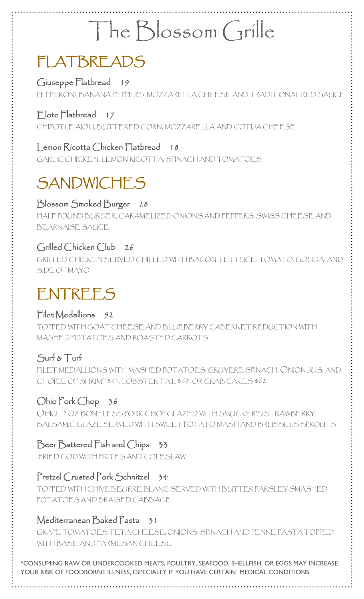## The Blossom Grille

## FLATBREADS

Giuseppe Flatbread 19 PEPPERONI, BANANA PEPPERS, MOZZARELLA CHEESE AND TRADITIONAL RED SAUCE

#### Elote Flatbread 17

CHIPOTLE AIOLI, BUTTERED CORN, MOZZARELLA AND COTIJA CHEESE

#### Lemon Ricotta Chicken Flatbread 18

GARLIC CHICKEN, LEMON RICOTTA, SPINACH AND TOMATOES

## **SANDWICHES**

#### Blossom Smoked Burger 28

HALF POUND BURGER, CARAMELIZED ONIONS AND PEPPERS, SWISS CHEESE AND BEARNAISE SAUCE

#### Grilled Chicken Club 26

GRILLED CHICKEN SERVED CHILLED WITH BACON, LETTUCE, TOMATO, GOUDA, AND SIDE OF MAYO

## ENTREES

#### Filet Medallions 52

TOPPED WITH GOAT CHEESE AND BLUEBERRY CABERNET REDUCTION WITH MASHED POTATOES AND ROASTED CARROTS

#### Surf & Turf

FILET MEDALLIONS WITH MASHED POTATOES, GRUYERE SPINACH, ONION JUS, AND CHOICE OF SHRIMP \$61, LOBSTER TAIL \$69, OR CRAB CAKES \$62

#### Ohio Pork Chop 36

OHIO 12 OZ BONELESS PORK CHOP GLAZED WITH SMUCKER'S STRAWBERRY BALSAMIC GLAZE SERVED WITH SWEET POTATO MASH AND BRUSSELS SPROUTS

#### Beer Battered Fish and Chips 33

FRIED COD WITH FRITES AND COLESLAW

#### Pretzel Crusted Pork Schnitzel 34

TOPPED WITH CHIVE BEURRE BLANC SERVED WITH BUTTER PARSLEY SMASHED POTATOES AND BRAISED CABBAGE

#### Mediterranean Baked Pasta 31

GRAPE TOMATOES, FETA CHEESE, ONIONS, SPINACH AND PENNE PASTA TOPPED WITH BASIL AND PARMESAN CHEESE

\*CONSUMING RAW OR UNDERCOOKED MEATS, POULTRY, SEAFOOD, SHELLFISH, OR EGGS MAY INCREASE YOUR RISK OF FOODBORNE ILLNESS, ESPECIALLY IF YOU HAVE CERTAIN MEDICAL CONDITIONS.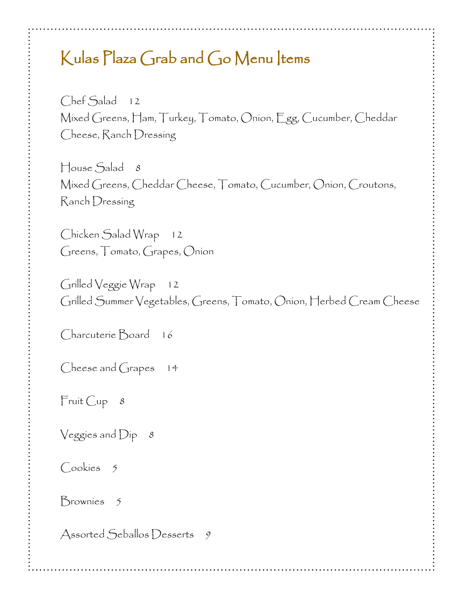#### Kulas Plaza Grab and Go Menu Items

Chef Salad 12 Mixed Greens, Ham, Turkey, Tomato, Onion, Egg, Cucumber, Cheddar Cheese, Ranch Dressing

House Salad 8 Mixed Greens, Cheddar Cheese, Tomato, Cucumber, Onion, Croutons, Ranch Dressing

Chicken Salad Wrap 12 Greens, Tomato, Grapes, Onion

Grilled Veggie Wrap 12 Grilled Summer Vegetables, Greens, Tomato, Onion, Herbed Cream Cheese

Charcuterie Board 16

Cheese and Grapes 14

Fruit Cup 8

Veggies and  $Dip - 8$ 

Cookies<sub>5</sub>

Brownies 5

Assorted Seballos Desserts 9